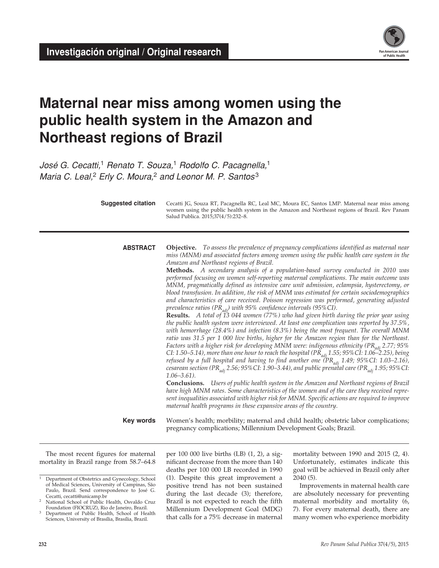

# **Maternal near miss among women using the public health system in the Amazon and Northeast regions of Brazil**

*José G. Cecatti,*1 *Renato T. Souza,*1 *Rodolfo C. Pacagnella,*<sup>1</sup> *Maria C. Leal,*2 *Erly C. Moura,*2 *and Leonor M. P. Santos* <sup>3</sup>

| <b>Suggested citation</b> | Cecatti JG, Souza RT, Pacagnella RC, Leal MC, Moura EC, Santos LMP. Maternal near miss among<br>women using the public health system in the Amazon and Northeast regions of Brazil. Rev Panam<br>Salud Publica. 2015;37(4/5):232-8.                                                                                                                                                                                                                                                                                                                                                                                                                                                                                                                                                                                                                                                                                                                                                                                                                                                                                                                                                                                                                                                                                                                                                                                                                                                                                                                                                                                                                                                                                                                                                                                                                                                                                                                                                                                  |
|---------------------------|----------------------------------------------------------------------------------------------------------------------------------------------------------------------------------------------------------------------------------------------------------------------------------------------------------------------------------------------------------------------------------------------------------------------------------------------------------------------------------------------------------------------------------------------------------------------------------------------------------------------------------------------------------------------------------------------------------------------------------------------------------------------------------------------------------------------------------------------------------------------------------------------------------------------------------------------------------------------------------------------------------------------------------------------------------------------------------------------------------------------------------------------------------------------------------------------------------------------------------------------------------------------------------------------------------------------------------------------------------------------------------------------------------------------------------------------------------------------------------------------------------------------------------------------------------------------------------------------------------------------------------------------------------------------------------------------------------------------------------------------------------------------------------------------------------------------------------------------------------------------------------------------------------------------------------------------------------------------------------------------------------------------|
| <b>ABSTRACT</b>           | Objective. To assess the prevalence of pregnancy complications identified as maternal near<br>miss (MNM) and associated factors among women using the public health care system in the<br>Amazon and Northeast regions of Brazil.<br>Methods. A secondary analysis of a population-based survey conducted in 2010 was<br>performed focusing on women self-reporting maternal complications. The main outcome was<br>MNM, pragmatically defined as intensive care unit admission, eclampsia, hysterectomy, or<br>blood transfusion. In addition, the risk of MNM was estimated for certain sociodemographics<br>and characteristics of care received. Poisson regression was performed, generating adjusted<br>prevalence ratios (PR $_{adj}$ ) with 95% confidence intervals (95%CI).<br>Results. A total of 13 044 women (77%) who had given birth during the prior year using<br>the public health system were interviewed. At least one complication was reported by 37.5%,<br>with hemorrhage (28.4%) and infection (8.3%) being the most frequent. The overall MNM<br>ratio was 31.5 per 1 000 live births, higher for the Amazon region than for the Northeast.<br>Factors with a higher risk for developing MNM were: indigenous ethnicity (PR <sub>adi</sub> 2.77; 95%<br>CI: 1.50–5.14), more than one hour to reach the hospital (PR <sub>adi</sub> 1.55; 95% CI: 1.06–2.25), being<br>refused by a full hospital and having to find another one $(PR_{adi} 1.49; 95\% CI: 1.03-2.16)$ ,<br>cesarean section (PR <sub>adj</sub> 2.56; 95% CI: 1.90–3.44), and public prenatal care (PR <sub>adj</sub> 1.95; 95% CI:<br>$1.06 - 3.61$ ).<br>Conclusions. Users of public health system in the Amazon and Northeast regions of Brazil<br>have high MNM rates. Some characteristics of the women and of the care they received repre-<br>sent inequalities associated with higher risk for MNM. Specific actions are required to improve<br>maternal health programs in these expansive areas of the country. |
| Key words                 | Women's health; morbility; maternal and child health; obstetric labor complications;<br>pregnancy complications; Millennium Development Goals; Brazil.                                                                                                                                                                                                                                                                                                                                                                                                                                                                                                                                                                                                                                                                                                                                                                                                                                                                                                                                                                                                                                                                                                                                                                                                                                                                                                                                                                                                                                                                                                                                                                                                                                                                                                                                                                                                                                                               |

The most recent figures for maternal mortality in Brazil range from 58.7–64.8 per 100 000 live births (LB) (1, 2), a significant decrease from the more than 140 deaths per 100 000 LB recorded in 1990 (1). Despite this great improvement a positive trend has not been sustained during the last decade (3); therefore, Brazil is not expected to reach the fifth Millennium Development Goal (MDG) that calls for a 75% decrease in maternal mortality between 1990 and 2015 (2, 4). Unfortunately, estimates indicate this goal will be achieved in Brazil only after 2040 (5).

Improvements in maternal health care are absolutely necessary for preventing maternal morbidity and mortality (6, 7). For every maternal death, there are many women who experience morbidity

<sup>&</sup>lt;sup>1</sup> Department of Obstetrics and Gynecology, School of Medical Sciences, University of Campinas, São Paulo, Brazil. Send correspondence to José G. Cecatti, [cecatti@unicamp.br](mailto:cecatti@unicamp.br) <sup>2</sup> National School of Public Health, Osvaldo Cruz

Foundation (FIOCRUZ), Rio de Janeiro, Brazil.

<sup>&</sup>lt;sup>3</sup> Department of Public Health, School of Health Sciences, University of Brasília, Brasília, Brazil.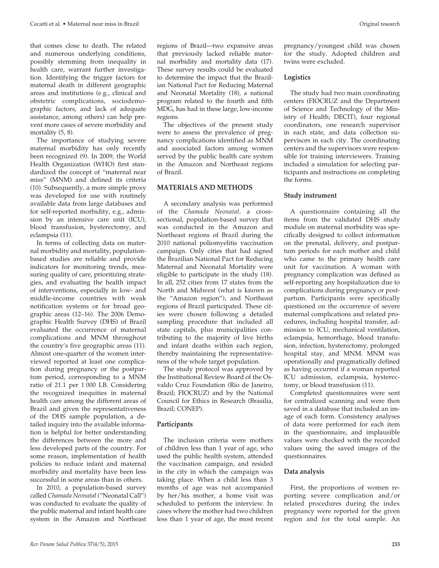that comes close to death. The related and numerous underlying conditions, possibly stemming from inequality in health care, warrant further investigation. Identifying the trigger factors for maternal death in different geographic areas and institutions (e.g., clinical and obstetric complications, sociodemographic factors, and lack of adequate assistance, among others) can help prevent more cases of severe morbidity and mortality  $(5, 8)$ .

The importance of studying severe maternal morbidity has only recently been recognized (9). In 2009, the World Health Organization (WHO) first standardized the concept of "maternal near miss" (MNM) and defined its criteria (10). Subsequently, a more simple proxy was developed for use with routinely available data from large databases and for self-reported morbidity, e.g., admission by an intensive care unit (ICU), blood transfusion, hysterectomy, and eclampsia (11).

In terms of collecting data on maternal morbidity and mortality, populationbased studies are reliable and provide indicators for monitoring trends, measuring quality of care, prioritizing strategies, and evaluating the health impact of interventions, especially in low- and middle-income countries with weak notification systems or for broad geographic areas (12–16). The 2006 Demographic Health Survey (DHS) of Brazil evaluated the occurrence of maternal complications and MNM throughout the country's five geographic areas (11). Almost one-quarter of the women interviewed reported at least one complication during pregnancy or the postpartum period, corresponding to a MNM ratio of 21.1 per 1 000 LB. Considering the recognized inequities in maternal health care among the different areas of Brazil and given the representativeness of the DHS sample population, a detailed inquiry into the available information is helpful for better understanding the differences between the more and less developed parts of the country. For some reason, implementation of health policies to reduce infant and maternal morbidity and mortality have been less successful in some areas than in others.

In 2010, a population-based survey called *Chamada Neonatal* ("Neonatal Call") was conducted to evaluate the quality of the public maternal and infant health care system in the Amazon and Northeast

regions of Brazil—two expansive areas that previously lacked reliable maternal morbidity and mortality data (17). These survey results could be evaluated to determine the impact that the Brazilian National Pact for Reducing Maternal and Neonatal Mortality (18), a national program related to the fourth and fifth MDG, has had in these large, low-income regions.

The objectives of the present study were to assess the prevalence of pregnancy complications identified as MNM and associated factors among women served by the public health care system in the Amazon and Northeast regions of Brazil.

#### **MATERIALS AND METHODS**

A secondary analysis was performed of the *Chamada Neonatal,* a crosssectional, population-based survey that was conducted in the Amazon and Northeast regions of Brazil during the 2010 national poliomyelitis vaccination campaign. Only cities that had signed the Brazilian National Pact for Reducing Maternal and Neonatal Mortality were eligible to participate in the study (18). In all, 252 cities from 17 states from the North and Midwest (what is known as the "Amazon region"), and Northeast regions of Brazil participated. These cities were chosen following a detailed sampling procedure that included all state capitals, plus municipalities contributing to the majority of live births and infant deaths within each region, thereby maintaining the representativeness of the whole target population.

The study protocol was approved by the Institutional Review Board of the Osvaldo Cruz Foundation (Rio de Janeiro, Brazil; FIOCRUZ) and by the National Council for Ethics in Research (Brasilia, Brazil; CONEP).

#### **Participants**

The inclusion criteria were mothers of children less than 1 year of age, who used the public health system, attended the vaccination campaign, and resided in the city in which the campaign was taking place. When a child less than 3 months of age was not accompanied by her/his mother, a home visit was scheduled to perform the interview. In cases where the mother had two children less than 1 year of age, the most recent

pregnancy/youngest child was chosen for the study. Adopted children and twins were excluded.

#### **Logistics**

The study had two main coordinating centers (FIOCRUZ and the Department of Science and Technology of the Ministry of Health; DECIT), four regional coordinators, one research supervisor in each state, and data collection supervisors in each city. The coordinating centers and the supervisors were responsible for training interviewers. Training included a simulation for selecting participants and instructions on completing the forms.

### **Study instrument**

A questionnaire containing all the items from the validated DHS study module on maternal morbidity was specifically designed to collect information on the prenatal, delivery, and postpartum periods for each mother and child who came to the primary health care unit for vaccination. A woman with pregnancy complication was defined as self-reporting any hospitalization due to complications during pregnancy or postpartum. Participants were specifically questioned on the occurrence of severe maternal complications and related procedures, including hospital transfer, admission to ICU, mechanical ventilation, eclampsia, hemorrhage, blood transfusion, infection, hysterectomy, prolonged hospital stay, and MNM. MNM was operationally and pragmatically defined as having occurred if a woman reported ICU admission, eclampsia, hysterectomy, or blood transfusion (11).

Completed questionnaires were sent for centralized scanning and were then saved in a database that included an image of each form. Consistency analyses of data were performed for each item in the questionnaire, and implausible values were checked with the recorded values using the saved images of the questionnaires.

# **Data analysis**

First, the proportions of women reporting severe complication and/or related procedures during the index pregnancy were reported for the given region and for the total sample. An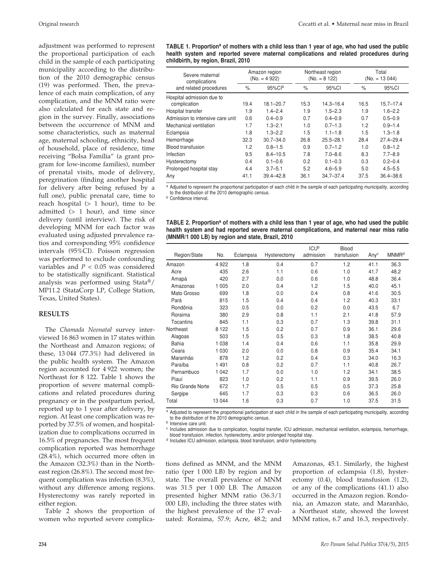adjustment was performed to represent the proportional participation of each child in the sample of each participating municipality according to the distribution of the 2010 demographic census (19) was performed. Then, the prevalence of each main complication, of any complication, and the MNM ratio were also calculated for each state and region in the survey. Finally, associations between the occurrence of MNM and some characteristics, such as maternal age, maternal schooling, ethnicity, head of household, place of residence, time receiving "Bolsa Família" (a grant program for low-income families), number of prenatal visits, mode of delivery, peregrination (finding another hospital for delivery after being refused by a full one), public prenatal care, time to reach hospital  $(> 1$  hour), time to be admitted  $(> 1$  hour), and time since delivery (until interview). The risk of developing MNM for each factor was evaluated using adjusted prevalence ratios and corresponding 95% confidence intervals (95%CI). Poisson regression was performed to exclude confounding variables and *P* < 0.05 was considered to be statistically significant. Statistical analysis was performed using Stata®/ MP11.2 (StataCorp LP, College Station, Texas, United States).

#### **RESULTS**

The *Chamada Neonatal* survey interviewed 16 863 women in 17 states within the Northeast and Amazon regions; of these, 13 044 (77.3%) had delivered in the public health system. The Amazon region accounted for 4 922 women; the Northeast for 8 122. Table 1 shows the proportion of severe maternal complications and related procedures during pregnancy or in the postpartum period, reported up to 1 year after delivery, by region. At least one complication was reported by 37.5% of women, and hospitalization due to complications occurred in 16.5% of pregnancies. The most frequent complication reported was hemorrhage (28.4%), which occurred more often in the Amazon (32.3%) than in the Northeast region (26.8%). The second most frequent complication was infection (8.3%), without any difference among regions. Hysterectomy was rarely reported in either region.

Table 2 shows the proportion of women who reported severe complica-

| TABLE 1. Proportion <sup>a</sup> of mothers with a child less than 1 year of age, who had used the public |  |
|-----------------------------------------------------------------------------------------------------------|--|
| health system and reported severe maternal complications and related procedures during                    |  |
| childbirth, by region, Brazil, 2010                                                                       |  |

| Severe maternal<br>complications | Amazon region<br>$(No. = 4922)$ |               |      | Northeast region<br>$(No. = 8 122)$ | Total<br>$(No. = 13044)$ |               |  |
|----------------------------------|---------------------------------|---------------|------|-------------------------------------|--------------------------|---------------|--|
| and related procedures           | $\%$                            | $95\%$ CIb    | $\%$ | 95%CI                               | $\%$                     | 95%CI         |  |
| Hospital admission due to        |                                 |               |      |                                     |                          |               |  |
| complication                     | 19.4                            | $18.1 - 20.7$ | 15.3 | $14.3 - 16.4$                       | 16.5                     | $15.7 - 17.4$ |  |
| Hospital transfer                | 1.9                             | $1.4 - 2.4$   | 1.9  | $1.5 - 2.3$                         | 1.9                      | $1.6 - 2.2$   |  |
| Admission to intensive care unit | 0.6                             | $0.4 - 0.9$   | 0.7  | $0.4 - 0.9$                         | 0.7                      | $0.5 - 0.9$   |  |
| Mechanical ventilation           | 1.7                             | $1.3 - 2.1$   | 1.0  | $0.7 - 1.3$                         | 1.2                      | $0.9 - 1.4$   |  |
| Eclampsia                        | 1.8                             | $1.3 - 2.2$   | 1.5  | $1.1 - 1.8$                         | 1.5                      | $1.3 - 1.8$   |  |
| Hemorrhage                       | 32.3                            | $30.7 - 34.0$ | 26.8 | $25.5 - 28.1$                       | 28.4                     | $27.4 - 29.4$ |  |
| <b>Blood transfusion</b>         | 1.2                             | $0.8 - 1.5$   | 0.9  | $0.7 - 1.2$                         | 1.0                      | $0.8 - 1.2$   |  |
| Infection                        | 9.5                             | $8.4 - 10.5$  | 7.8  | $7.0 - 8.6$                         | 8.3                      | $7.7 - 8.9$   |  |
| Hysterectomy                     | 0.4                             | $0.1 - 0.6$   | 0.2  | $0.1 - 0.3$                         | 0.3                      | $0.2 - 0.4$   |  |
| Prolonged hospital stay          | 4.4                             | $3.7 - 5.1$   | 5.2  | $4.6 - 5.9$                         | 5.0                      | $4.5 - 5.5$   |  |
| Any                              | 41.1                            | $39.4 - 42.8$ | 36.1 | $34.7 - 37.4$                       | 37.5                     | $36.4 - 38.6$ |  |

a Adjusted to represent the proportional participation of each child in the sample of each participating municipality, according to the distribution of the 2010 demographic census.

**b** Confidence interval.

| TABLE 2. Proportion <sup>a</sup> of mothers with a child less than 1 year of age, who had used the public |  |  |  |  |  |  |
|-----------------------------------------------------------------------------------------------------------|--|--|--|--|--|--|
| health system and had reported severe maternal complications, and maternal near miss ratio                |  |  |  |  |  |  |
| (MNMR/1 000 LB) by region and state, Brazil, 2010                                                         |  |  |  |  |  |  |

|                  |         |           |              | <b>ICUb</b> | Blood       |                  |                         |
|------------------|---------|-----------|--------------|-------------|-------------|------------------|-------------------------|
| Region/State     | No.     | Eclampsia | Hysterectomy | admission   | transfusion | Any <sup>c</sup> | <b>MNMR<sup>d</sup></b> |
| Amazon           | 4922    | 1.8       | 0.4          | 0.7         | 1.2         | 41.1             | 36.3                    |
| Acre             | 435     | 2.6       | 1.1          | 0.6         | 1.0         | 41.7             | 48.2                    |
| Amapá            | 420     | 2.7       | 0.0          | 0.6         | 1.0         | 48.8             | 36.4                    |
| Amazonas         | 1 0 0 5 | 2.0       | 0.4          | 1.2         | 1.5         | 40.0             | 45.1                    |
| Mato Grosso      | 699     | 1.8       | 0.0          | 0.4         | 0.8         | 41.6             | 30.5                    |
| Pará             | 815     | 1.5       | 0.4          | 0.4         | 1.2         | 40.3             | 33.1                    |
| Rondônia         | 323     | 0.5       | 0.0          | 0.2         | 0.0         | 43.5             | 6.7                     |
| Roraima          | 380     | 2.9       | 0.8          | 1.1         | 2.1         | 41.8             | 57.9                    |
| <b>Tocantins</b> | 845     | 1.1       | 0.3          | 0.7         | 1.3         | 39.8             | 31.1                    |
| Northeast        | 8 1 2 2 | 1.5       | 0.2          | 0.7         | 0.9         | 36.1             | 29.6                    |
| Alagoas          | 503     | 1.5       | 0.5          | 0.3         | 1.8         | 38.5             | 40.8                    |
| <b>Bahia</b>     | 1 0 3 8 | 1.4       | 0.4          | 0.6         | 1.1         | 35.8             | 29.9                    |
| Ceara            | 1 0 3 0 | 2.0       | 0.0          | 0.8         | 0.9         | 35.4             | 34.1                    |
| Maranhão         | 878     | 1.2       | 0.2          | 0.4         | 0.3         | 34.0             | 16.3                    |
| Paraíba          | 1491    | 0.8       | 0.2          | 0.7         | 1.1         | 40.8             | 26.7                    |
| Pernambuco       | 1 0 4 2 | 1.7       | 0.0          | 1.0         | 1.2         | 34.1             | 38.5                    |
| Piauí            | 823     | 1.0       | 0.2          | 1.1         | 0.9         | 39.5             | 26.0                    |
| Rio Grande Norte | 672     | 1.7       | 0.5          | 0.5         | 0.5         | 37.3             | 25.8                    |
| Sergipe          | 645     | 1.7       | 0.3          | 0.3         | 0.6         | 36.5             | 26.0                    |
| Total            | 13 044  | 1.6       | 0.3          | 0.7         | 1.0         | 37.5             | 31.5                    |

a Adjusted to represent the proportional participation of each child in the sample of each participating municipality, according

to the distribution of the 2010 demographic census.

<sup>b</sup> Intensive care unit.<br><sup>c</sup> Includes admission due to complication, hospital transfer, ICU admission, mechanical ventilation, eclampsia, hemorrhage, blood transfusion, infection, hysterectomy, and/or prolonged hospital stay.

d Includes ICU admission, eclampsia, blood transfusion, and/or hysterectomy.

tions defined as MNM, and the MNM ratio (per 1 000 LB) by region and by state. The overall prevalence of MNM was 31.5 per 1 000 LB. The Amazon presented higher MNM ratio (36.3/1 000 LB), including the three states with the highest prevalence of the 17 evaluated: Roraima, 57.9; Acre, 48.2; and Amazonas, 45.1. Similarly, the highest proportion of eclampsia (1.8), hysterectomy (0.4), blood transfusion (1.2), or any of the complications (41.1) also occurred in the Amazon region. Rondonia, an Amazon state, and Maranhão, a Northeast state, showed the lowest MNM ratios, 6.7 and 16.3, respectively.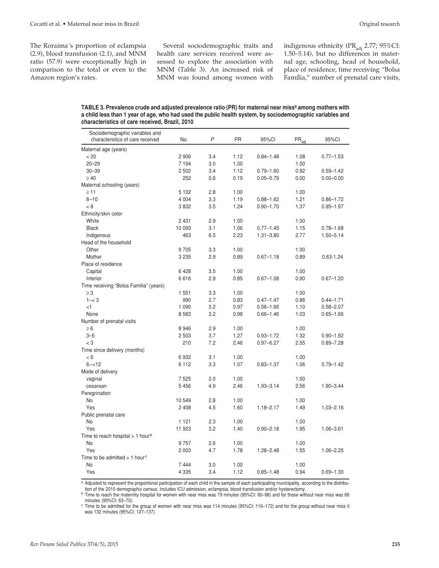The Roraima´s proportion of eclampsia (2.9), blood transfusion (2.1), and MNM ratio (57.9) were exceptionally high in comparison to the total or even to the Amazon region's rates.

Several sociodemographic traits and health care services received were assessed to explore the association with MNM (Table 3). An increased risk of MNM was found among women with indigenous ethnicity (PR $_{\text{adj}}$  2.77; 95%CI: 1.50–5.14), but no differences in maternal age, schooling, head of household, place of residence, time receiving "Bolsa Família," number of prenatal care visits,

| TABLE 3. Prevalence crude and adjusted prevalence ratio (PR) for maternal near miss <sup>a</sup> among mothers with |
|---------------------------------------------------------------------------------------------------------------------|
| a child less than 1 year of age, who had used the public health system, by sociodemographic variables and           |
| characteristics of care received. Brazil. 2010                                                                      |

| Sociodemographic variables and               |         |     |           |               |                   |               |
|----------------------------------------------|---------|-----|-----------|---------------|-------------------|---------------|
| characteristics of care received             | No.     | P   | <b>PR</b> | 95%CI         | $PR_{\text{adj}}$ | 95%CI         |
| Maternal age (years)                         |         |     |           |               |                   |               |
| < 20                                         | 2906    | 3.4 | 1.12      | $0.84 - 1.48$ | 1.08              | $0.77 - 1.53$ |
| $20 - 29$                                    | 7 1 9 4 | 3.0 | 1.00      |               | 1.00              |               |
| $30 - 39$                                    | 2 5 0 2 | 3.4 | 1.12      | $0.79 - 1.60$ | 0.92              | $0.59 - 1.42$ |
| $\geq 40$                                    | 252     | 0.6 | 0.19      | $0.05 - 0.79$ | 0.00              | $0.00 - 0.00$ |
| Maternal schooling (years)                   |         |     |           |               |                   |               |
| $\geq$ 11                                    | 5 1 0 2 | 2.8 | 1.00      |               | 1.00              |               |
| $8 - 10$                                     | 4 0 0 4 | 3.3 | 1.19      | $0.88 - 1.62$ | 1.21              | $0.86 - 1.72$ |
| < 8                                          | 3832    | 3.5 | 1.24      | $0.90 - 1.70$ | 1.37              | $0.95 - 1.97$ |
| Ethnicity/skin color                         |         |     |           |               |                   |               |
| White                                        | 2 4 3 1 | 2.9 | 1.00      |               | 1.00              |               |
| <b>Black</b>                                 | 10 093  | 3.1 | 1.06      | $0.77 - 1.45$ | 1.15              | $0.78 - 1.68$ |
| Indigenous                                   | 463     | 6.5 | 2.23      | $1.31 - 3.80$ | 2.77              | $1.50 - 5.14$ |
| Head of the household                        |         |     |           |               |                   |               |
| Other                                        | 9705    | 3.3 | 1.00      |               | 1.00              |               |
| Mother                                       | 3 2 3 5 | 2.9 | 0.89      | $0.67 - 1.18$ | 0.89              | $0.63 - 1.24$ |
| Place of residence                           |         |     |           |               |                   |               |
| Capital                                      | 6428    | 3.5 | 1.00      |               | 1.00              |               |
| Interior                                     | 6616    | 2.9 | 0.85      | $0.67 - 1.08$ | 0.90              | $0.67 - 1.20$ |
| Time receiving "Bolsa Familia" (years)       |         |     |           |               |                   |               |
| $\geq 3$                                     | 1 551   | 3.3 | 1.00      |               | 1.00              |               |
| $1 - < 3$                                    | 990     | 2.7 | 0.83      | $0.47 - 1.47$ | 0.86              | $0.44 - 1.71$ |
| $\leq$ 1                                     | 1 0 9 0 | 3.2 | 0.97      | $0.56 - 1.66$ | 1.10              | $0.58 - 2.07$ |
| None                                         | 8583    | 3.2 | 0.98      | $0.66 - 1.46$ | 1.03              | $0.65 - 1.66$ |
| Number of prenatal visits                    |         |     |           |               |                   |               |
| $\geq 6$                                     | 8946    | 2.9 | 1.00      |               | 1.00              |               |
| $3 - 5$                                      | 2 5 0 3 | 3.7 | 1.27      | $0.93 - 1.72$ | 1.32              | $0.90 - 1.92$ |
| $<$ 3                                        | 210     | 7.2 | 2.46      | $0.97 - 6.27$ | 2.55              | $0.89 - 7.28$ |
| Time since delivery (months)                 |         |     |           |               |                   |               |
| < 6                                          | 6932    | 3.1 | 1.00      |               | 1.00              |               |
| $6 - 12$                                     | 6 1 1 2 | 3.3 | 1.07      | $0.83 - 1.37$ | 1.06              | $0.79 - 1.42$ |
| Mode of delivery                             |         |     |           |               |                   |               |
| vaginal                                      | 7525    | 2.0 | 1.00      |               | 1.00              |               |
| cesarean                                     | 5456    | 4.9 | 2.46      | $1.93 - 3.14$ | 2.56              | $1.90 - 3.44$ |
| Peregrination                                |         |     |           |               |                   |               |
| No                                           | 10549   | 2.8 | 1.00      |               | 1.00              |               |
| Yes                                          | 2 4 0 8 | 4.5 | 1.60      | $1.18 - 2.17$ | 1.49              | $1.03 - 2.16$ |
| Public prenatal care                         |         |     |           |               |                   |               |
| No                                           | 1 1 2 1 | 2.3 | 1.00      |               | 1.00              |               |
| Yes                                          | 11 923  | 3.2 | 1.40      | $0.90 - 2.18$ | 1.95              | $1.06 - 3.61$ |
| Time to reach hospital > 1 hour <sup>b</sup> |         |     |           |               |                   |               |
| No                                           | 9757    | 2.6 | 1.00      |               | 1.00              |               |
| Yes                                          | 2 0 0 3 | 4.7 | 1.78      | $1.28 - 2.48$ | 1.55              | $1.06 - 2.25$ |
| Time to be admitted $> 1$ hour <sup>c</sup>  |         |     |           |               |                   |               |
| <b>No</b>                                    | 7444    | 3.0 | 1.00      |               | 1.00              |               |
| Yes                                          | 4 3 3 5 | 3.4 | 1.12      | $0.85 - 1.48$ | 0.94              | $0.69 - 1.30$ |

a Adjusted to represent the proportional participation of each child in the sample of each participating municipality, according to the distribution of the 2010 demographic census. Includes ICU admission, eclampsia, blood transfusion and/or hysterectomy.

b Time to reach the maternity hospital for women with near miss was 79 minutes (95%CI: 60–98) and for those without near miss was 66

minutes (95%CI: 63–70).

<sup>c</sup> Time to be admitted for the group of women with near miss was 114 minutes (95%CI: 116–172) and for the group without near miss it was 132 minutes (95%CI: 127–137).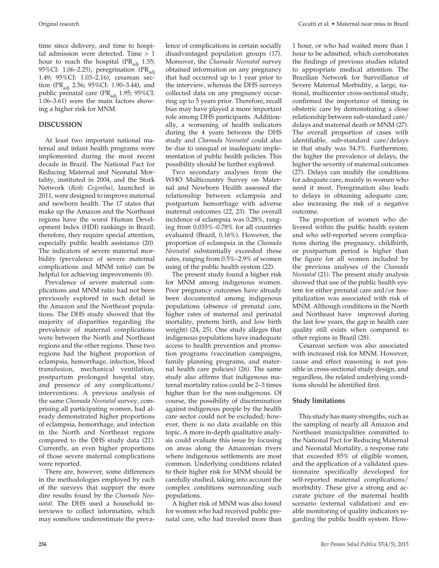time since delivery, and time to hospital admission were detected. Time > 1 hour to reach the hospital ( $PR_{\text{adj}}$  1.55; 95%CI: 1.06–2.25), peregrination  $(PR_{\text{adj}})$ 1.49; 95%CI: 1.03–2.16), cesarean section (PR<sub>adi</sub> 2.56; 95%CI: 1.90–3.44), and public prenatal care (PR $_{\text{adj}}$  1.95; 95%CI: 1.06–3.61) were the main factors showing a higher risk for MNM.

#### **DISCUSSION**

At least two important national maternal and infant health programs were implemented during the most recent decade in Brazil. The National Pact for Reducing Maternal and Neonatal Mortality, instituted in 2004, and the Stork Network (*Rede Cegonha)*, launched in 2011, were designed to improve maternal and newborn health. The 17 states that make up the Amazon and the Northeast regions have the worst Human Development Index (HDI) rankings in Brazil; therefore, they require special attention, especially public health assistance (20). The indicators of severe maternal morbidity (prevalence of severe maternal complications and MNM ratio) can be helpful for achieving improvements (8).

Prevalence of severe maternal complications and MNM ratio had not been previously explored in such detail in the Amazon and the Northeast populations. The DHS study showed that the majority of disparities regarding the prevalence of maternal complications were between the North and Northeast regions and the other regions. These two regions had the highest proportion of eclampsia, hemorrhage, infection, blood transfusion, mechanical ventilation, postpartum prolonged hospital stay, and presence of any complications/ interventions. A previous analysis of the same *Chamada Neonatal* survey, comprising all participating women, had already demonstrated higher proportions of eclampsia, hemorrhage, and infection in the North and Northeast regions compared to the DHS study data (21). Currently, an even higher proportions of those severe maternal complications were reported.

There are, however, some differences in the methodologies employed by each of the surveys that support the more dire results found by the *Chamada Neonatal*. The DHS used a household interviews to collect information, which may somehow underestimate the prevalence of complications in certain socially disadvantaged population groups (17). Moreover, the *Chamada Neonatal* survey obtained information on any pregnancy that had occurred up to 1 year prior to the interview, whereas the DHS surveys collected data on any pregnancy occurring up to 5 years prior. Therefore, recall bias may have played a more important role among DHS participants. Additionally, a worsening of health indicators during the 4 years between the DHS study and *Chamada Neonatal* could also be due to unequal or inadequate implementation of public health policies. This possibility should be further explored.

Two secondary analyses from the WHO Multicountry Survey on Maternal and Newborn Health assessed the relationship between eclampsia and postpartum hemorrhage with adverse maternal outcomes (22, 23). The overall incidence of eclampsia was 0.28%, ranging from 0.035%–0.78% for all countries evaluated (Brazil, 0.16%). However, the proportion of eclampsia in the *Chamada Neonatal* substantially exceeded these rates, ranging from 0.5%–2.9% of women using of the public health system (22).

The present study found a higher risk for MNM among indigenous women. Poor pregnancy outcomes have already been documented among indigenous populations (absence of prenatal care, higher rates of maternal and perinatal mortality, preterm birth, and low birth weight) (24, 25). One study alleges that indigenous populations have inadequate access to health prevention and promotion programs (vaccination campaigns, family planning programs, and maternal health care policies) (26). The same study also affirms that indigenous maternal mortality ratios could be 2–3 times higher than for the non-indigenous. Of course, the possibility of discrimination against indigenous people by the health care sector could not be excluded; however, there is no data available on this topic. A more in-depth qualitative analysis could evaluate this issue by focusing on areas along the Amazonian rivers where indigenous settlements are most common. Underlying conditions related to their higher risk for MNM should be carefully studied, taking into account the complex conditions surrounding such populations.

A higher risk of MNM was also found for women who had received public prenatal care, who had traveled more than 1 hour, or who had waited more than 1 hour to be admitted, which corroborates the findings of previous studies related to appropriate medical attention. The Brazilian Network for Surveillance of Severe Maternal Morbidity, a large, national, multicenter cross-sectional study, confirmed the importance of timing in obstetric care by demonstrating a close relationship between sub-standard care/ delays and maternal death or MNM (27). The overall proportion of cases with identifiable, sub-standard care/delays in that study was 54.3%. Furthermore, the higher the prevalence of delays, the higher the severity of maternal outcomes (27). Delays can modify the conditions for adequate care, mainly in women who need it most. Peregrination also leads to delays in obtaining adequate care, also increasing the risk of a negative outcome.

The proportion of women who delivered within the public health system and who self-reported severe complications during the pregnancy, childbirth, or postpartum period is higher than the figure for all women included by the previous analyses of the *Chamada Neonatal* (21). The present study analysis showed that use of the public health system for either prenatal care and/or hospitalization was associated with risk of MNM. Although conditions in the North and Northeast have improved during the last few years, the gap in health care quality still exists when compared to other regions in Brazil (28).

Cesarean section was also associated with increased risk for MNM. However, cause and effect reasoning is not possible in cross-sectional study design, and regardless, the related underlying conditions should be identified first.

#### **Study limitations**

This study has many strengths, such as the sampling of nearly all Amazon and Northeast municipalities committed to the National Pact for Reducing Maternal and Neonatal Mortality, a response rate that exceeded 85% of eligible women, and the application of a validated questionnaire specifically developed for self-reported maternal complications/ morbidity. These give a strong and accurate picture of the maternal health scenario (external validation) and enable monitoring of quality indicators regarding the public health system. How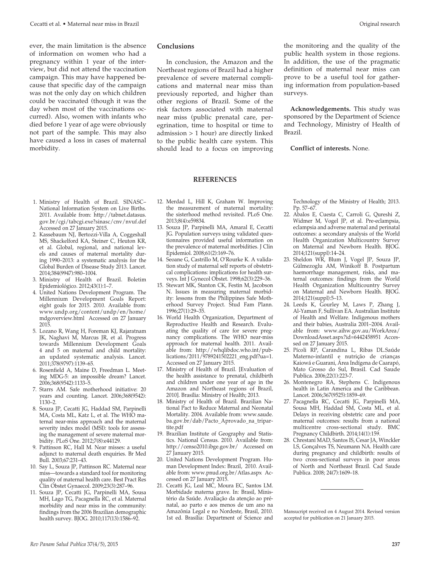ever, the main limitation is the absence of information on women who had a pregnancy within 1 year of the interview, but did not attend the vaccination campaign. This may have happened because that specific day of the campaign was not the only day on which children could be vaccinated (though it was the day when most of the vaccinations occurred). Also, women with infants who died before 1 year of age were obviously not part of the sample. This may also have caused a loss in cases of maternal morbidity.

#### **Conclusions**

 In conclusion, the Amazon and the Northeast regions of Brazil had a higher prevalence of severe maternal complications and maternal near miss than previously reported, and higher than other regions of Brazil. Some of the risk factors associated with maternal near miss (public prenatal care, peregrination, time to hospital or time to admission > 1 hour) are directly linked to the public health care system. This should lead to a focus on improving the monitoring and the quality of the public health system in those regions. In addition, the use of the pragmatic definition of maternal near miss can prove to be a useful tool for gathering information from population-based surveys.

**Acknowledgements.** This study was sponsored by the Department of Science and Technology, Ministry of Health of Brazil.

**Conflict of interests.** None.

# **REFERENCES**

- 1. Ministry of Health of Brazil. SINASC– National Information System on Live Births. 2011. Available from: http://tabnet.datasus. gov.br/cgi/tabcgi.exe?sinasc/cnv/nvuf.def Accessed on 27 January 2015.
- 2. Kassebaum NJ, Bertozzi-Villa A, Coggeshall MS, Shackelford KA, Steiner C, Heuton KR, et al. Global, regional, and national levels and causes of maternal mortality during 1990–2013: a systematic analysis for the Global Burden of Disease Study 2013. Lancet. 2014;384(9947):980–1004.
- 3. Ministry of Health of Brazil. Boletim Epidemiológico. 2012;43(1):1–7.
- 4. United Nations Development Program. The Millennium Development Goals Report: eight goals for 2015. 2010. Available from: www.undp.org/content/undp/en/home/ mdgoverview.html Accessed on 27 January 2015.
- 5. Lozano R, Wang H, Foreman KJ, Rajaratnam JK, Naghavi M, Marcus JR, et al. Progress towards Millennium Development Goals 4 and 5 on maternal and child mortality: an updated systematic analysis. Lancet. 2011;378(9797):1139–65.
- 6. Rosenfield A, Maine D, Freedman L. Meeting MDG-5: an impossible dream? Lancet. 2006;368(9542):1133–5.
- 7. Starrs AM. Safe motherhood initiative: 20 years and counting. Lancet. 2006;368(9542):  $1130 - 2$
- 8. Souza JP, Cecatti JG, Haddad SM, Parpinelli MA, Costa ML, Katz L, et al. The WHO maternal near-miss approach and the maternal severity index model (MSI): tools for assessing the management of severe maternal morbidity. PLoS One. 2012;7(8):e44129.
- 9. Pattinson RC, Hall M. Near misses: a useful adjunct to maternal death enquiries. Br Med Bull. 2003;67:231–43.
- 10. Say L, Souza JP, Pattinson RC. Maternal near miss—towards a standard tool for monitoring quality of maternal health care. Best Pract Res Clin Obstet Gynaecol. 2009;23(3):287–96.
- 11. Souza JP, Cecatti JG, Parpinelli MA, Sousa MH, Lago TG, Pacagnella RC, et al. Maternal morbidity and near miss in the community: findings from the 2006 Brazilian demographic health survey. BJOG. 2010;117(13):1586–92.
- 12. Merdad L, Hill K, Graham W. Improving the measurement of maternal mortality: the sisterhood method revisited. PLoS One. 2013;8(4):e59834.
- 13. Souza JP, Parpinelli MA, Amaral E, Cecatti JG. Population surveys using validated questionnaires provided useful information on the prevalence of maternal morbidities. J Clin Epidemiol. 2008;61(2):169–76.
- 14. Seoane G, Castrillo M, O'Rourke K. A validation study of maternal self reports of obstetrical complications: implications for health surveys. Int J Gynecol Obstet. 1998;62(3):229–36.
- 15. Stewart MK, Stanton CK, Festin M, Jacobson N. Issues in measuring maternal morbidity: lessons from the Philippines Safe Motherhood Survey Project. Stud Fam Plann. 1996;27(1):29–35.
- 16. World Health Organization, Department of Reproductive Health and Research. Evaluating the quality of care for severe pregnancy complications. The WHO near-miss approach for maternal health. 2011. Available from: http://whqlibdoc.who.int/publications/2011/9789241502221\_eng.pdf?ua=1. Accessed on 27 January 2015.
- 17. Ministry of Health of Brazil. [Evaluation of the health assistance to prenatal, childbirth and children under one year of age in the Amazon and Northeast regions of Brazil, 2010]. Brasília: Ministry of Health; 2013.
- 18. Ministry of Health of Brazil. Brazilian National Pact to Reduce Maternal and Neonatal Mortality. 2004. Available from: www.saude. ba.gov.br/dab/Pacto\_Aprovado\_na\_tripartite.pdf
- 19. Brazilian Institute of Geography and Statistics. National Census. 2010. Available from: http://censo2010.ibge.gov.br/ Accessed on 27 January 2015.
- 20. United Nations Development Program. Human Development Index: Brazil, 2010. Available from: www.pnud.org.br/Atlas.aspx Accessed on 27 January 2015.
- 21. Cecatti JG, Leal MC, Moura EC, Santos LM. Morbidade materna grave. In: Brasil, Ministério da Saúde. Avaliação da atenção ao prénatal, ao parto e aos menos de um ano na Amazônia Legal e no Nordeste, Brasil, 2010. 1st ed. Brasília: Department of Science and

Technology of the Ministry of Health; 2013. Pp. 57-67

- 22. Abalos E, Cuesta C, Carroli G, Qureshi Z, Widmer M, Vogel JP, et al. Pre-eclampsia, eclampsia and adverse maternal and perinatal outcomes: a secondary analysis of the World Health Organization Multicountry Survey on Maternal and Newborn Health. BJOG. 2014;121(suppl):14–24.
- 23. Sheldon WR, Blum J, Vogel JP, Souza JP, Gülmezoglu AM, Winikoff B. Postpartum haemorrhage management, risks, and maternal outcomes: findings from the World Health Organization Multicountry Survey on Maternal and Newborn Health. BJOG. 2014;121(suppl):5–13.
- 24. Leeds K, Gourley M, Laws P, Zhang J, Al-Yaman F, Sullivan EA. Australian Institute of Health and Welfare. Indigenous mothers and their babies, Australia 2001-2004. Available from: www.aihw.gov.au/WorkArea/ DownloadAsset.aspx?id=6442458951 Accessed on 27 January 2015.
- 25. Pícoli RP, Carandina L, Ribas DL.Saúde Materno-infantil e nutrição de crianças Kaiowá e Guarani, Área Indígena de Caarapó, Mato Grosso do Sul, Brasil. Cad Saude Publica. 2006;22(1):223-7.
- 26. Montenegro RA, Stephens C. Indigenous health in Latin America and the Caribbean. Lancet. 2006;367(9525):1859–69.
- 27. Pacagnella RC, Cecatti JG, Parpinelli MA, Sousa MH, Haddad SM, Costa ML, et al. Delays in receiving obstetric care and poor maternal outcomes: results from a national multicentre cross-sectional study. BMC Pregnancy Childbirth. 2014;14(1):159.
- 28. Chrestani MAD, Santos IS, Cesar JA, Winckler LS, Gonçalves TS, Neumann NA. Health care during pregnancy and childbirth: results of two cross-sectional surveys in poor areas of North and Northeast Brazil. Cad Saude Publica. 2008; 24(7):1609–18.

Mansucript received on 4 August 2014. Revised version accepted for publication on 21 January 2015.